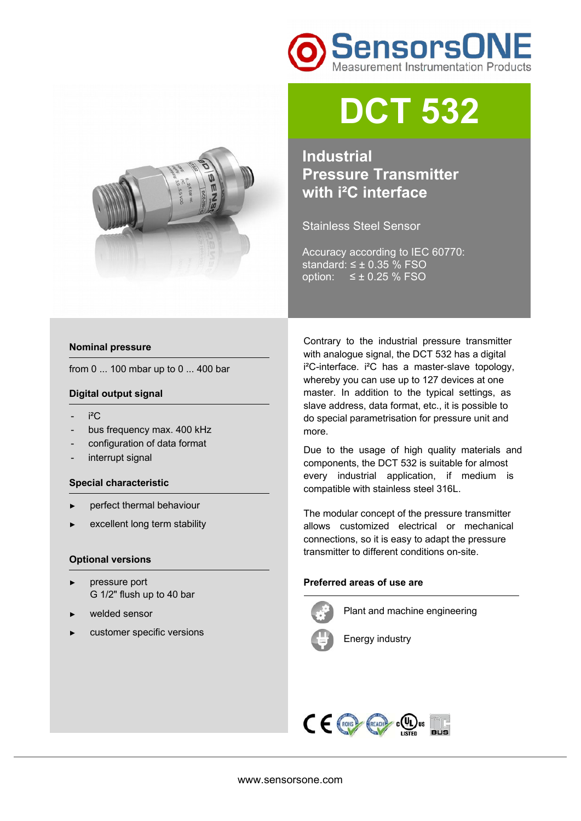



# **DCT 532**

**Industrial Pressure Transmitter with i²C interface** 

Stainless Steel Sensor

Accuracy according to IEC 60770: standard:  $\leq \pm 0.35$  % FSO option:  $≤ ± 0.25 %$  FSO

### **Nominal pressure**

from 0 ... 100 mbar up to 0 ... 400 bar

### **Digital output signal**

- $i^2C$
- bus frequency max. 400 kHz
- configuration of data format
- interrupt signal

### **Special characteristic**

- perfect thermal behaviour
- excellent long term stability

### **Optional versions**

- ► pressure port G 1/2" flush up to 40 bar
- welded sensor
- customer specific versions

Contrary to the industrial pressure transmitter with analogue signal, the DCT 532 has a digital i²C-interface. i²C has a master-slave topology, whereby you can use up to 127 devices at one master. In addition to the typical settings, as slave address, data format, etc., it is possible to do special parametrisation for pressure unit and more.

Due to the usage of high quality materials and components, the DCT 532 is suitable for almost every industrial application, if medium is compatible with stainless steel 316L.

The modular concept of the pressure transmitter allows customized electrical or mechanical connections, so it is easy to adapt the pressure transmitter to different conditions on-site.

## **Preferred areas of use are**



Plant and machine engineering



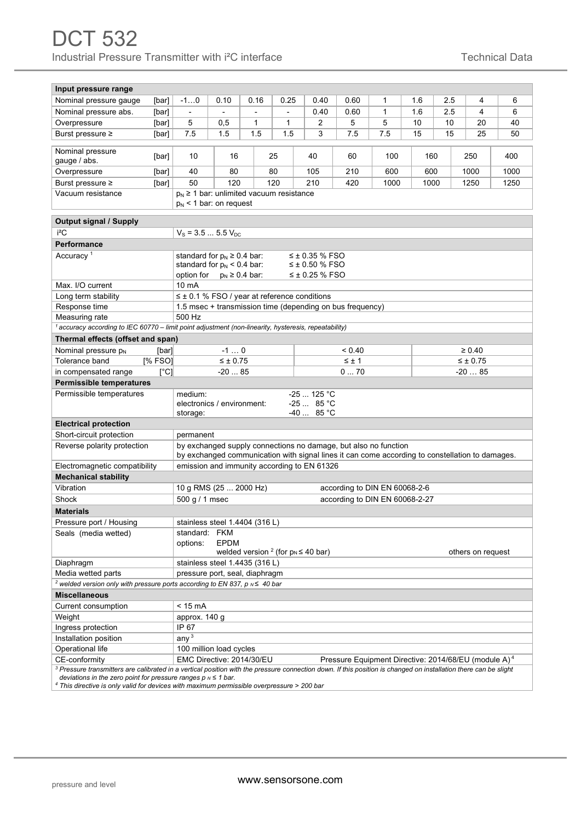| Input pressure range                                                                                                                                                                                                                              |                                                                                                 |                                                                                                   |                                                     |                     |      |                |                                                                  |              |     |                 |      |      |      |
|---------------------------------------------------------------------------------------------------------------------------------------------------------------------------------------------------------------------------------------------------|-------------------------------------------------------------------------------------------------|---------------------------------------------------------------------------------------------------|-----------------------------------------------------|---------------------|------|----------------|------------------------------------------------------------------|--------------|-----|-----------------|------|------|------|
| Nominal pressure gauge                                                                                                                                                                                                                            | [bar]                                                                                           | $-10$                                                                                             | 0.10                                                | 0.16                | 0.25 | 0.40           | 0.60                                                             | $\mathbf{1}$ | 1.6 | 2.5             |      | 4    | 6    |
| Nominal pressure abs.                                                                                                                                                                                                                             | [bar]                                                                                           | $\overline{\phantom{a}}$                                                                          |                                                     |                     |      | 0.40           | 0.60                                                             | $\mathbf{1}$ | 1.6 | 2.5             |      | 4    | 6    |
| Overpressure                                                                                                                                                                                                                                      | [bar]                                                                                           | 5                                                                                                 | 0,5                                                 | 1                   | 1    | 2              | 5                                                                | 5            | 10  | 10              |      | 20   | 40   |
| Burst pressure ≥                                                                                                                                                                                                                                  | [bar]                                                                                           | 7.5                                                                                               | 1.5                                                 | 1.5                 | 1.5  | 3              | 7.5                                                              | 7.5          | 15  | 15              |      | 25   | 50   |
|                                                                                                                                                                                                                                                   |                                                                                                 |                                                                                                   |                                                     |                     |      |                |                                                                  |              |     |                 |      |      |      |
| Nominal pressure<br>gauge / abs.                                                                                                                                                                                                                  | [bar]                                                                                           | 10<br>16                                                                                          |                                                     |                     | 25   | 40             | 60<br>100                                                        |              |     | 160             |      | 250  | 400  |
| Overpressure                                                                                                                                                                                                                                      | [bar]                                                                                           | 40<br>80                                                                                          |                                                     |                     | 80   | 105            | 210<br>600                                                       |              |     | 600             |      | 1000 | 1000 |
| Burst pressure ≥                                                                                                                                                                                                                                  | [bar]                                                                                           | 50<br>120<br>120                                                                                  |                                                     |                     |      | 210            | 420                                                              | 1000<br>1000 |     |                 | 1250 |      | 1250 |
| Vacuum resistance                                                                                                                                                                                                                                 |                                                                                                 | $p_N \geq 1$ bar: unlimited vacuum resistance<br>$p_N$ < 1 bar: on request                        |                                                     |                     |      |                |                                                                  |              |     |                 |      |      |      |
| <b>Output signal / Supply</b>                                                                                                                                                                                                                     |                                                                                                 |                                                                                                   |                                                     |                     |      |                |                                                                  |              |     |                 |      |      |      |
| i <sup>2</sup> C                                                                                                                                                                                                                                  |                                                                                                 | $V_s = 3.5  5.5 V_{DC}$                                                                           |                                                     |                     |      |                |                                                                  |              |     |                 |      |      |      |
| <b>Performance</b>                                                                                                                                                                                                                                |                                                                                                 |                                                                                                   |                                                     |                     |      |                |                                                                  |              |     |                 |      |      |      |
| Accuracy <sup>1</sup><br>standard for $p_N \ge 0.4$ bar:<br>$≤$ ± 0.35 % FSO                                                                                                                                                                      |                                                                                                 |                                                                                                   |                                                     |                     |      |                |                                                                  |              |     |                 |      |      |      |
|                                                                                                                                                                                                                                                   |                                                                                                 | standard for $p_N < 0.4$ bar:                                                                     |                                                     |                     |      | ≤ ± 0.50 % FSO |                                                                  |              |     |                 |      |      |      |
|                                                                                                                                                                                                                                                   |                                                                                                 | option for                                                                                        |                                                     | $p_N \geq 0.4$ bar: |      | ≤ ± 0.25 % FSO |                                                                  |              |     |                 |      |      |      |
| Max. I/O current                                                                                                                                                                                                                                  |                                                                                                 | 10 mA                                                                                             |                                                     |                     |      |                |                                                                  |              |     |                 |      |      |      |
| Long term stability                                                                                                                                                                                                                               |                                                                                                 |                                                                                                   | $\leq \pm 0.1$ % FSO / year at reference conditions |                     |      |                |                                                                  |              |     |                 |      |      |      |
| Response time                                                                                                                                                                                                                                     |                                                                                                 |                                                                                                   |                                                     |                     |      |                | 1.5 msec + transmission time (depending on bus frequency)        |              |     |                 |      |      |      |
|                                                                                                                                                                                                                                                   | 500 Hz<br>Measuring rate                                                                        |                                                                                                   |                                                     |                     |      |                |                                                                  |              |     |                 |      |      |      |
| $^1$ accuracy according to IEC 60770 - limit point adjustment (non-linearity, hysteresis, repeatability)                                                                                                                                          |                                                                                                 |                                                                                                   |                                                     |                     |      |                |                                                                  |              |     |                 |      |      |      |
| Thermal effects (offset and span)                                                                                                                                                                                                                 |                                                                                                 |                                                                                                   |                                                     |                     |      |                |                                                                  |              |     |                 |      |      |      |
| Nominal pressure $p_N$                                                                                                                                                                                                                            | [bar]                                                                                           |                                                                                                   | $-10$                                               |                     |      |                | ${}_{0.40}$                                                      |              |     | $\geq 0.40$     |      |      |      |
| Tolerance band                                                                                                                                                                                                                                    | [% FSO]                                                                                         |                                                                                                   | $\leq \pm 0.75$                                     |                     |      |                | $\leq \pm 1$                                                     |              |     | $\leq \pm 0.75$ |      |      |      |
| in compensated range                                                                                                                                                                                                                              | $[^{\circ}C]$                                                                                   | 070<br>$-2085$<br>$-2085$                                                                         |                                                     |                     |      |                |                                                                  |              |     |                 |      |      |      |
| <b>Permissible temperatures</b>                                                                                                                                                                                                                   |                                                                                                 |                                                                                                   |                                                     |                     |      |                |                                                                  |              |     |                 |      |      |      |
| Permissible temperatures<br>$-25$ 125 °C<br>medium:<br>electronics / environment:<br>$-2585^{\circ}$ C<br>-40  85 °C<br>storage:                                                                                                                  |                                                                                                 |                                                                                                   |                                                     |                     |      |                |                                                                  |              |     |                 |      |      |      |
| <b>Electrical protection</b>                                                                                                                                                                                                                      |                                                                                                 |                                                                                                   |                                                     |                     |      |                |                                                                  |              |     |                 |      |      |      |
| Short-circuit protection                                                                                                                                                                                                                          |                                                                                                 | permanent                                                                                         |                                                     |                     |      |                |                                                                  |              |     |                 |      |      |      |
| Reverse polarity protection                                                                                                                                                                                                                       |                                                                                                 |                                                                                                   |                                                     |                     |      |                | by exchanged supply connections no damage, but also no function  |              |     |                 |      |      |      |
|                                                                                                                                                                                                                                                   | by exchanged communication with signal lines it can come according to constellation to damages. |                                                                                                   |                                                     |                     |      |                |                                                                  |              |     |                 |      |      |      |
| Electromagnetic compatibility<br>emission and immunity according to EN 61326                                                                                                                                                                      |                                                                                                 |                                                                                                   |                                                     |                     |      |                |                                                                  |              |     |                 |      |      |      |
| <b>Mechanical stability</b>                                                                                                                                                                                                                       |                                                                                                 |                                                                                                   |                                                     |                     |      |                |                                                                  |              |     |                 |      |      |      |
| Vibration                                                                                                                                                                                                                                         | 10 g RMS (25  2000 Hz)<br>according to DIN EN 60068-2-6                                         |                                                                                                   |                                                     |                     |      |                |                                                                  |              |     |                 |      |      |      |
| Shock                                                                                                                                                                                                                                             |                                                                                                 | 500 g / 1 msec<br>according to DIN EN 60068-2-27                                                  |                                                     |                     |      |                |                                                                  |              |     |                 |      |      |      |
| <b>Materials</b>                                                                                                                                                                                                                                  |                                                                                                 |                                                                                                   |                                                     |                     |      |                |                                                                  |              |     |                 |      |      |      |
| Pressure port / Housing                                                                                                                                                                                                                           |                                                                                                 | stainless steel 1.4404 (316 L)                                                                    |                                                     |                     |      |                |                                                                  |              |     |                 |      |      |      |
| Seals (media wetted)                                                                                                                                                                                                                              | standard: FKM                                                                                   |                                                                                                   |                                                     |                     |      |                |                                                                  |              |     |                 |      |      |      |
|                                                                                                                                                                                                                                                   |                                                                                                 | options:                                                                                          | <b>EPDM</b>                                         |                     |      |                |                                                                  |              |     |                 |      |      |      |
| Diaphragm                                                                                                                                                                                                                                         |                                                                                                 | welded version $2$ (for $p_N \leq 40$ bar)<br>others on request<br>stainless steel 1.4435 (316 L) |                                                     |                     |      |                |                                                                  |              |     |                 |      |      |      |
| Media wetted parts                                                                                                                                                                                                                                |                                                                                                 | pressure port, seal, diaphragm                                                                    |                                                     |                     |      |                |                                                                  |              |     |                 |      |      |      |
| <sup>2</sup> welded version only with pressure ports according to EN 837, p $N \leq 40$ bar                                                                                                                                                       |                                                                                                 |                                                                                                   |                                                     |                     |      |                |                                                                  |              |     |                 |      |      |      |
| <b>Miscellaneous</b>                                                                                                                                                                                                                              |                                                                                                 |                                                                                                   |                                                     |                     |      |                |                                                                  |              |     |                 |      |      |      |
| Current consumption                                                                                                                                                                                                                               |                                                                                                 | $< 15 \text{ mA}$                                                                                 |                                                     |                     |      |                |                                                                  |              |     |                 |      |      |      |
| Weight                                                                                                                                                                                                                                            |                                                                                                 | approx. 140 g                                                                                     |                                                     |                     |      |                |                                                                  |              |     |                 |      |      |      |
| Ingress protection                                                                                                                                                                                                                                |                                                                                                 | IP 67                                                                                             |                                                     |                     |      |                |                                                                  |              |     |                 |      |      |      |
| Installation position                                                                                                                                                                                                                             |                                                                                                 | any $3$                                                                                           |                                                     |                     |      |                |                                                                  |              |     |                 |      |      |      |
| Operational life                                                                                                                                                                                                                                  | 100 million load cycles                                                                         |                                                                                                   |                                                     |                     |      |                |                                                                  |              |     |                 |      |      |      |
| CE-conformity                                                                                                                                                                                                                                     |                                                                                                 | EMC Directive: 2014/30/EU                                                                         |                                                     |                     |      |                | Pressure Equipment Directive: 2014/68/EU (module A) <sup>4</sup> |              |     |                 |      |      |      |
| <sup>3</sup> Pressure transmitters are calibrated in a vertical position with the pressure connection down. If this position is changed on installation there can be slight<br>deviations in the zero point for pressure ranges $p_N \leq 1$ bar. |                                                                                                 |                                                                                                   |                                                     |                     |      |                |                                                                  |              |     |                 |      |      |      |

*<sup>4</sup> This directive is only valid for devices with maximum permissible overpressure > 200 bar*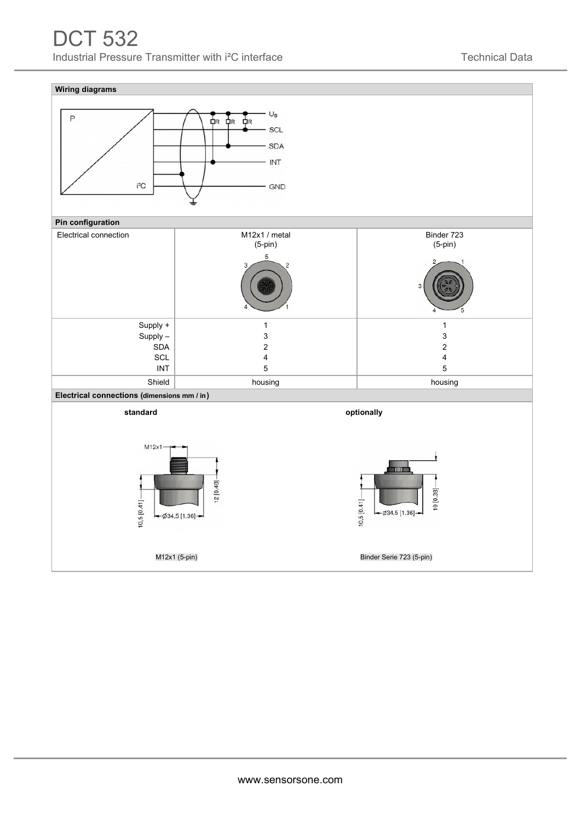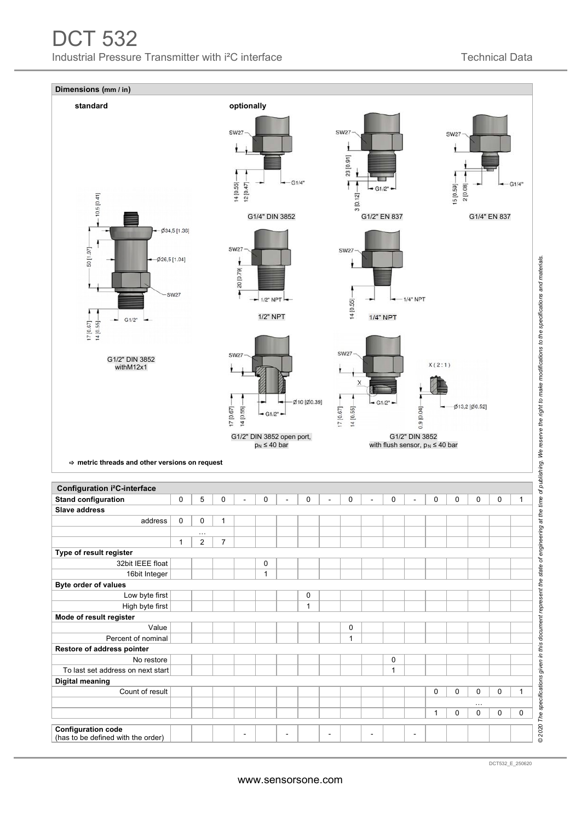